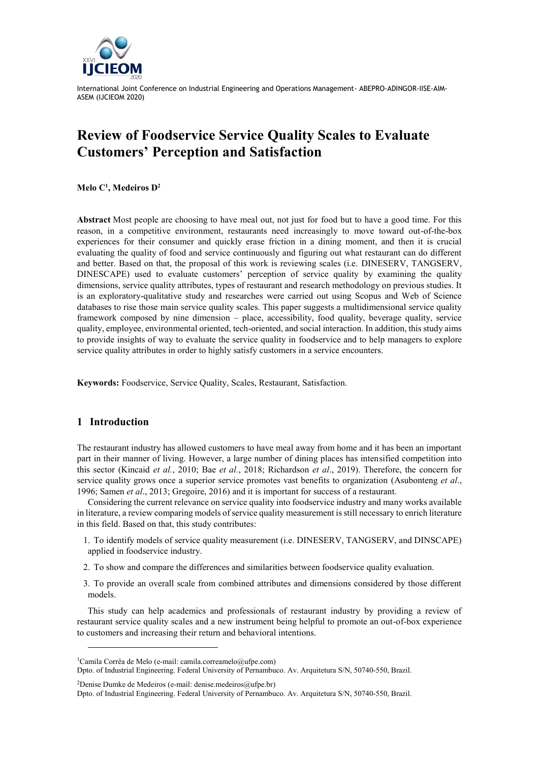

# **Review of Foodservice Service Quality Scales to Evaluate Customers' Perception and Satisfaction**

**Melo C<sup>1</sup> , Medeiros D<sup>2</sup>**

**Abstract** Most people are choosing to have meal out, not just for food but to have a good time. For this reason, in a competitive environment, restaurants need increasingly to move toward out-of-the-box experiences for their consumer and quickly erase friction in a dining moment, and then it is crucial evaluating the quality of food and service continuously and figuring out what restaurant can do different and better. Based on that, the proposal of this work is reviewing scales (i.e. DINESERV, TANGSERV, DINESCAPE) used to evaluate customers' perception of service quality by examining the quality dimensions, service quality attributes, types of restaurant and research methodology on previous studies. It is an exploratory-qualitative study and researches were carried out using Scopus and Web of Science databases to rise those main service quality scales. This paper suggests a multidimensional service quality framework composed by nine dimension – place, accessibility, food quality, beverage quality, service quality, employee, environmental oriented, tech-oriented, and social interaction. In addition, this study aims to provide insights of way to evaluate the service quality in foodservice and to help managers to explore service quality attributes in order to highly satisfy customers in a service encounters.

**Keywords:** Foodservice, Service Quality, Scales, Restaurant, Satisfaction.

# **1 Introduction**

l

The restaurant industry has allowed customers to have meal away from home and it has been an important part in their manner of living. However, a large number of dining places has intensified competition into this sector (Kincaid *et al.*, 2010; Bae *et al.*, 2018; Richardson *et al*., 2019). Therefore, the concern for service quality grows once a superior service promotes vast benefits to organization (Asubonteng *et al*., 1996; Samen *et al*., 2013; Gregoire, 2016) and it is important for success of a restaurant.

Considering the current relevance on service quality into foodservice industry and many works available in literature, a review comparing models of service quality measurement is still necessary to enrich literature in this field. Based on that, this study contributes:

- 1. To identify models of service quality measurement (i.e. DINESERV, TANGSERV, and DINSCAPE) applied in foodservice industry.
- 2. To show and compare the differences and similarities between foodservice quality evaluation.
- 3. To provide an overall scale from combined attributes and dimensions considered by those different models.

This study can help academics and professionals of restaurant industry by providing a review of restaurant service quality scales and a new instrument being helpful to promote an out-of-box experience to customers and increasing their return and behavioral intentions.

<sup>2</sup>Denise Dumke de Medeiros (e-mail: denise.medeiros@ufpe.br)

<sup>1</sup>Camila Corrêa de Melo (e-mail: camila.correamelo@ufpe.com)

Dpto. of Industrial Engineering. Federal University of Pernambuco. Av. Arquitetura S/N, 50740-550, Brazil.

Dpto. of Industrial Engineering. Federal University of Pernambuco. Av. Arquitetura S/N, 50740-550, Brazil.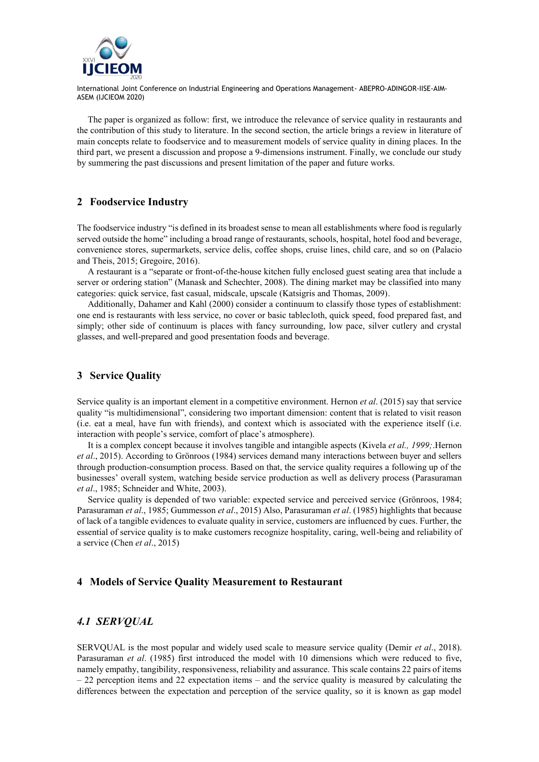

The paper is organized as follow: first, we introduce the relevance of service quality in restaurants and the contribution of this study to literature. In the second section, the article brings a review in literature of main concepts relate to foodservice and to measurement models of service quality in dining places. In the third part, we present a discussion and propose a 9-dimensions instrument. Finally, we conclude our study by summering the past discussions and present limitation of the paper and future works.

# **2 Foodservice Industry**

The foodservice industry "is defined in its broadest sense to mean all establishments where food is regularly served outside the home" including a broad range of restaurants, schools, hospital, hotel food and beverage, convenience stores, supermarkets, service delis, coffee shops, cruise lines, child care, and so on (Palacio and Theis, 2015; Gregoire, 2016).

A restaurant is a "separate or front-of-the-house kitchen fully enclosed guest seating area that include a server or ordering station" (Manask and Schechter, 2008). The dining market may be classified into many categories: quick service, fast casual, midscale, upscale (Katsigris and Thomas, 2009).

Additionally, Dahamer and Kahl (2000) consider a continuum to classify those types of establishment: one end is restaurants with less service, no cover or basic tablecloth, quick speed, food prepared fast, and simply; other side of continuum is places with fancy surrounding, low pace, silver cutlery and crystal glasses, and well-prepared and good presentation foods and beverage.

#### **3 Service Quality**

Service quality is an important element in a competitive environment. Hernon *et al*. (2015) say that service quality "is multidimensional", considering two important dimension: content that is related to visit reason (i.e. eat a meal, have fun with friends), and context which is associated with the experience itself (i.e. interaction with people's service, comfort of place's atmosphere).

It is a complex concept because it involves tangible and intangible aspects (Kivela *et al., 1999;*.Hernon *et al*., 2015). According to Grönroos (1984) services demand many interactions between buyer and sellers through production-consumption process. Based on that, the service quality requires a following up of the businesses' overall system, watching beside service production as well as delivery process (Parasuraman *et al*., 1985; Schneider and White, 2003).

Service quality is depended of two variable: expected service and perceived service (Grönroos, 1984; Parasuraman *et al*., 1985; Gummesson *et al*., 2015) Also, Parasuraman *et al*. (1985) highlights that because of lack of a tangible evidences to evaluate quality in service, customers are influenced by cues. Further, the essential of service quality is to make customers recognize hospitality, caring, well-being and reliability of a service (Chen *et al*., 2015)

#### **4 Models of Service Quality Measurement to Restaurant**

#### *4.1 SERVQUAL*

SERVQUAL is the most popular and widely used scale to measure service quality (Demir *et al*., 2018). Parasuraman *et al*. (1985) first introduced the model with 10 dimensions which were reduced to five, namely empathy, tangibility, responsiveness, reliability and assurance. This scale contains 22 pairs of items  $-22$  perception items and 22 expectation items – and the service quality is measured by calculating the differences between the expectation and perception of the service quality, so it is known as gap model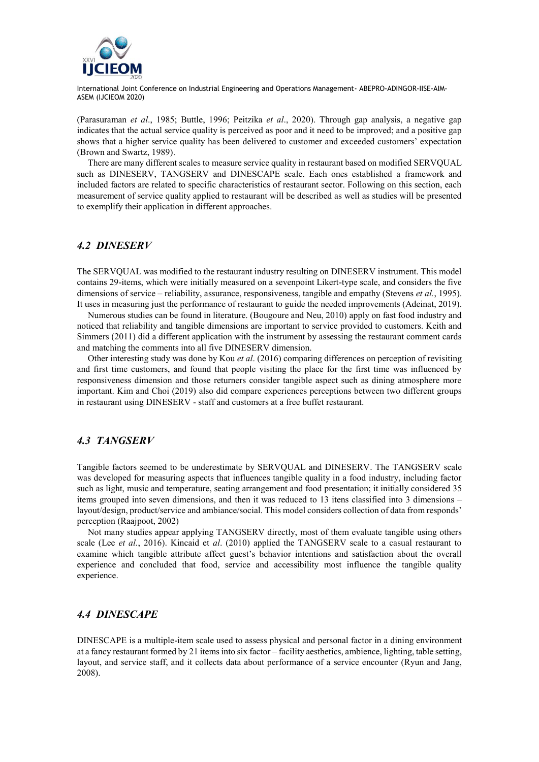

(Parasuraman *et al*., 1985; Buttle, 1996; Peitzika *et al*., 2020). Through gap analysis, a negative gap indicates that the actual service quality is perceived as poor and it need to be improved; and a positive gap shows that a higher service quality has been delivered to customer and exceeded customers' expectation (Brown and Swartz, 1989).

There are many different scales to measure service quality in restaurant based on modified SERVQUAL such as DINESERV, TANGSERV and DINESCAPE scale. Each ones established a framework and included factors are related to specific characteristics of restaurant sector. Following on this section, each measurement of service quality applied to restaurant will be described as well as studies will be presented to exemplify their application in different approaches.

# *4.2 DINESERV*

The SERVQUAL was modified to the restaurant industry resulting on DINESERV instrument. This model contains 29-items, which were initially measured on a sevenpoint Likert-type scale, and considers the five dimensions of service – reliability, assurance, responsiveness, tangible and empathy (Stevens *et al.*, 1995). It uses in measuring just the performance of restaurant to guide the needed improvements (Adeinat, 2019).

Numerous studies can be found in literature. (Bougoure and Neu, 2010) apply on fast food industry and noticed that reliability and tangible dimensions are important to service provided to customers. Keith and Simmers (2011) did a different application with the instrument by assessing the restaurant comment cards and matching the comments into all five DINESERV dimension.

Other interesting study was done by Kou *et al*. (2016) comparing differences on perception of revisiting and first time customers, and found that people visiting the place for the first time was influenced by responsiveness dimension and those returners consider tangible aspect such as dining atmosphere more important. Kim and Choi (2019) also did compare experiences perceptions between two different groups in restaurant using DINESERV - staff and customers at a free buffet restaurant.

#### *4.3 TANGSERV*

Tangible factors seemed to be underestimate by SERVQUAL and DINESERV. The TANGSERV scale was developed for measuring aspects that influences tangible quality in a food industry, including factor such as light, music and temperature, seating arrangement and food presentation; it initially considered 35 items grouped into seven dimensions, and then it was reduced to 13 itens classified into 3 dimensions – layout/design, product/service and ambiance/social. This model considers collection of data from responds' perception (Raajpoot, 2002)

Not many studies appear applying TANGSERV directly, most of them evaluate tangible using others scale (Lee *et al.*, 2016). Kincaid et *al*. (2010) applied the TANGSERV scale to a casual restaurant to examine which tangible attribute affect guest's behavior intentions and satisfaction about the overall experience and concluded that food, service and accessibility most influence the tangible quality experience.

# *4.4 DINESCAPE*

DINESCAPE is a multiple-item scale used to assess physical and personal factor in a dining environment at a fancy restaurant formed by 21 items into six factor – facility aesthetics, ambience, lighting, table setting, layout, and service staff, and it collects data about performance of a service encounter (Ryun and Jang, 2008).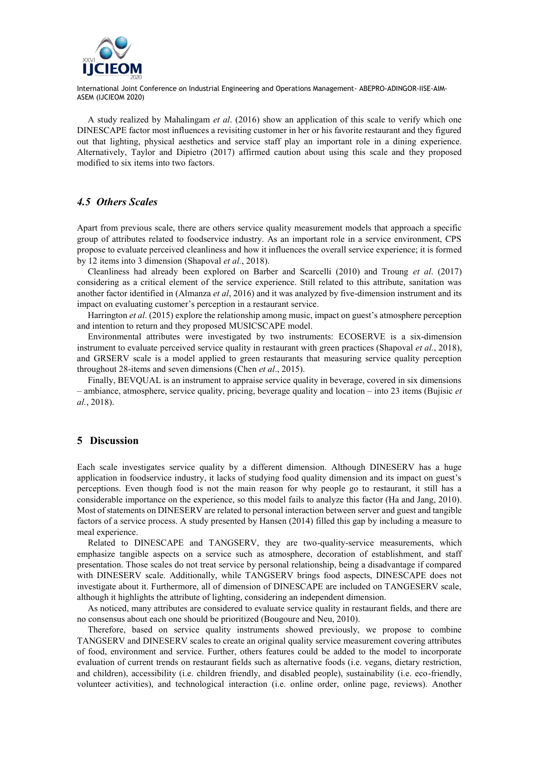

A study realized by Mahalingam *et al*. (2016) show an application of this scale to verify which one DINESCAPE factor most influences a revisiting customer in her or his favorite restaurant and they figured out that lighting, physical aesthetics and service staff play an important role in a dining experience. Alternatively, Taylor and Dipietro (2017) affirmed caution about using this scale and they proposed modified to six items into two factors.

# *4.5 Others Scales*

Apart from previous scale, there are others service quality measurement models that approach a specific group of attributes related to foodservice industry. As an important role in a service environment, CPS propose to evaluate perceived cleanliness and how it influences the overall service experience; it is formed by 12 items into 3 dimension (Shapoval *et al.*, 2018).

Cleanliness had already been explored on Barber and Scarcelli (2010) and Troung *et al*. (2017) considering as a critical element of the service experience. Still related to this attribute, sanitation was another factor identified in (Almanza *et al*, 2016) and it was analyzed by five-dimension instrument and its impact on evaluating customer's perception in a restaurant service.

Harrington *et al*. (2015) explore the relationship among music, impact on guest's atmosphere perception and intention to return and they proposed MUSICSCAPE model.

Environmental attributes were investigated by two instruments: ECOSERVE is a six-dimension instrument to evaluate perceived service quality in restaurant with green practices (Shapoval *et al.*, 2018), and GRSERV scale is a model applied to green restaurants that measuring service quality perception throughout 28-items and seven dimensions (Chen *et al*., 2015).

Finally, BEVQUAL is an instrument to appraise service quality in beverage, covered in six dimensions – ambiance, atmosphere, service quality, pricing, beverage quality and location – into 23 items (Bujisic *et al.*, 2018).

# **5 Discussion**

Each scale investigates service quality by a different dimension. Although DINESERV has a huge application in foodservice industry, it lacks of studying food quality dimension and its impact on guest's perceptions. Even though food is not the main reason for why people go to restaurant, it still has a considerable importance on the experience, so this model fails to analyze this factor (Ha and Jang, 2010). Most of statements on DINESERV are related to personal interaction between server and guest and tangible factors of a service process. A study presented by Hansen (2014) filled this gap by including a measure to meal experience.

Related to DINESCAPE and TANGSERV, they are two-quality-service measurements, which emphasize tangible aspects on a service such as atmosphere, decoration of establishment, and staff presentation. Those scales do not treat service by personal relationship, being a disadvantage if compared with DINESERV scale. Additionally, while TANGSERV brings food aspects, DINESCAPE does not investigate about it. Furthermore, all of dimension of DINESCAPE are included on TANGESERV scale, although it highlights the attribute of lighting, considering an independent dimension.

As noticed, many attributes are considered to evaluate service quality in restaurant fields, and there are no consensus about each one should be prioritized (Bougoure and Neu, 2010).

Therefore, based on service quality instruments showed previously, we propose to combine TANGSERV and DINESERV scales to create an original quality service measurement covering attributes of food, environment and service. Further, others features could be added to the model to incorporate evaluation of current trends on restaurant fields such as alternative foods (i.e. vegans, dietary restriction, and children), accessibility (i.e. children friendly, and disabled people), sustainability (i.e. eco-friendly, volunteer activities), and technological interaction (i.e. online order, online page, reviews). Another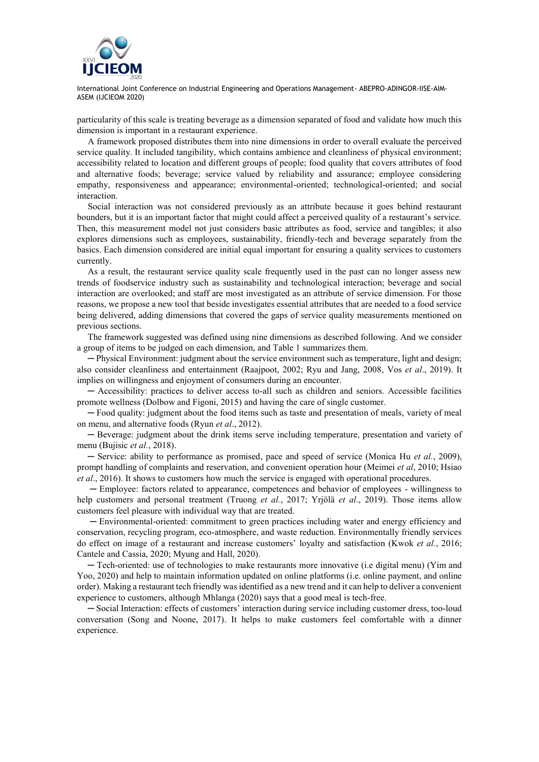

particularity of this scale is treating beverage as a dimension separated of food and validate how much this dimension is important in a restaurant experience.

A framework proposed distributes them into nine dimensions in order to overall evaluate the perceived service quality. It included tangibility, which contains ambience and cleanliness of physical environment; accessibility related to location and different groups of people; food quality that covers attributes of food and alternative foods; beverage; service valued by reliability and assurance; employee considering empathy, responsiveness and appearance; environmental-oriented; technological-oriented; and social interaction.

Social interaction was not considered previously as an attribute because it goes behind restaurant bounders, but it is an important factor that might could affect a perceived quality of a restaurant's service. Then, this measurement model not just considers basic attributes as food, service and tangibles; it also explores dimensions such as employees, sustainability, friendly-tech and beverage separately from the basics. Each dimension considered are initial equal important for ensuring a quality services to customers currently.

As a result, the restaurant service quality scale frequently used in the past can no longer assess new trends of foodservice industry such as sustainability and technological interaction; beverage and social interaction are overlooked; and staff are most investigated as an attribute of service dimension. For those reasons, we propose a new tool that beside investigates essential attributes that are needed to a food service being delivered, adding dimensions that covered the gaps of service quality measurements mentioned on previous sections.

The framework suggested was defined using nine dimensions as described following. And we consider a group of items to be judged on each dimension, and Table 1 summarizes them.

─ Physical Environment: judgment about the service environment such as temperature, light and design; also consider cleanliness and entertainment (Raajpoot, 2002; Ryu and Jang, 2008, Vos *et al*., 2019). It implies on willingness and enjoyment of consumers during an encounter.

─ Accessibility: practices to deliver access to-all such as children and seniors. Accessible facilities promote wellness (Dolbow and Figoni, 2015) and having the care of single customer.

─ Food quality: judgment about the food items such as taste and presentation of meals, variety of meal on menu, and alternative foods (Ryun *et al*., 2012).

─ Beverage: judgment about the drink items serve including temperature, presentation and variety of menu (Bujisic *et al.*, 2018).

─ Service: ability to performance as promised, pace and speed of service (Monica Hu *et al.*, 2009), prompt handling of complaints and reservation, and convenient operation hour (Meimei *et al*, 2010; Hsiao *et al*., 2016). It shows to customers how much the service is engaged with operational procedures.

─ Employee: factors related to appearance, competences and behavior of employees - willingness to help customers and personal treatment (Truong *et al.*, 2017; Yrjölä *et al*., 2019). Those items allow customers feel pleasure with individual way that are treated.

─ Environmental-oriented: commitment to green practices including water and energy efficiency and conservation, recycling program, eco-atmosphere, and waste reduction. Environmentally friendly services do effect on image of a restaurant and increase customers' loyalty and satisfaction (Kwok *et al.*, 2016; Cantele and Cassia, 2020; Myung and Hall, 2020).

─ Tech-oriented: use of technologies to make restaurants more innovative (i.e digital menu) (Yim and Yoo, 2020) and help to maintain information updated on online platforms (i.e. online payment, and online order). Making a restaurant tech friendly was identified as a new trend and it can help to deliver a convenient experience to customers, although Mhlanga (2020) says that a good meal is tech-free.

─ Social Interaction: effects of customers' interaction during service including customer dress, too-loud conversation (Song and Noone, 2017). It helps to make customers feel comfortable with a dinner experience.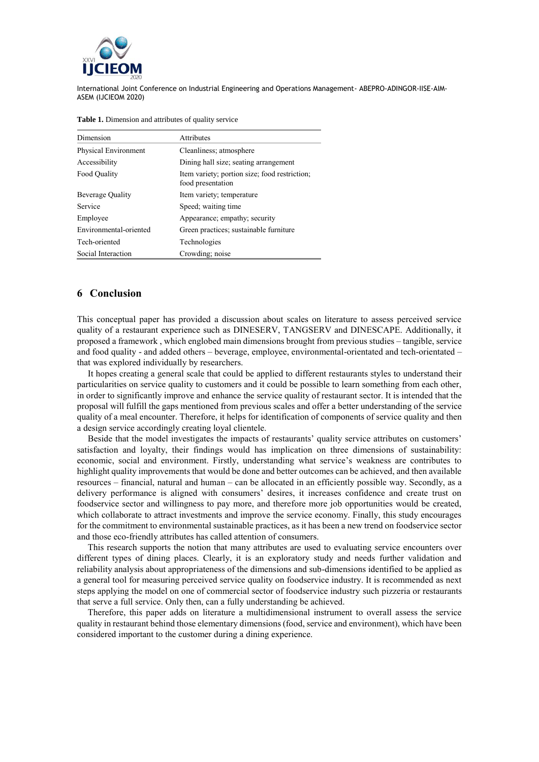

| Dimension              | <b>Attributes</b>                                                  |
|------------------------|--------------------------------------------------------------------|
| Physical Environment   | Cleanliness; atmosphere                                            |
| Accessibility          | Dining hall size; seating arrangement                              |
| Food Quality           | Item variety; portion size; food restriction;<br>food presentation |
| Beverage Quality       | Item variety; temperature                                          |
| Service                | Speed; waiting time                                                |
| Employee               | Appearance; empathy; security                                      |
| Environmental-oriented | Green practices; sustainable furniture                             |
| Tech-oriented          | Technologies                                                       |
| Social Interaction     | Crowding; noise                                                    |

**Table 1.** Dimension and attributes of quality service

# **6 Conclusion**

This conceptual paper has provided a discussion about scales on literature to assess perceived service quality of a restaurant experience such as DINESERV, TANGSERV and DINESCAPE. Additionally, it proposed a framework , which englobed main dimensions brought from previous studies – tangible, service and food quality - and added others – beverage, employee, environmental-orientated and tech-orientated – that was explored individually by researchers.

It hopes creating a general scale that could be applied to different restaurants styles to understand their particularities on service quality to customers and it could be possible to learn something from each other, in order to significantly improve and enhance the service quality of restaurant sector. It is intended that the proposal will fulfill the gaps mentioned from previous scales and offer a better understanding of the service quality of a meal encounter. Therefore, it helps for identification of components of service quality and then a design service accordingly creating loyal clientele.

Beside that the model investigates the impacts of restaurants' quality service attributes on customers' satisfaction and loyalty, their findings would has implication on three dimensions of sustainability: economic, social and environment. Firstly, understanding what service's weakness are contributes to highlight quality improvements that would be done and better outcomes can be achieved, and then available resources – financial, natural and human – can be allocated in an efficiently possible way. Secondly, as a delivery performance is aligned with consumers' desires, it increases confidence and create trust on foodservice sector and willingness to pay more, and therefore more job opportunities would be created, which collaborate to attract investments and improve the service economy. Finally, this study encourages for the commitment to environmental sustainable practices, as it has been a new trend on foodservice sector and those eco-friendly attributes has called attention of consumers.

This research supports the notion that many attributes are used to evaluating service encounters over different types of dining places. Clearly, it is an exploratory study and needs further validation and reliability analysis about appropriateness of the dimensions and sub-dimensions identified to be applied as a general tool for measuring perceived service quality on foodservice industry. It is recommended as next steps applying the model on one of commercial sector of foodservice industry such pizzeria or restaurants that serve a full service. Only then, can a fully understanding be achieved.

Therefore, this paper adds on literature a multidimensional instrument to overall assess the service quality in restaurant behind those elementary dimensions (food, service and environment), which have been considered important to the customer during a dining experience.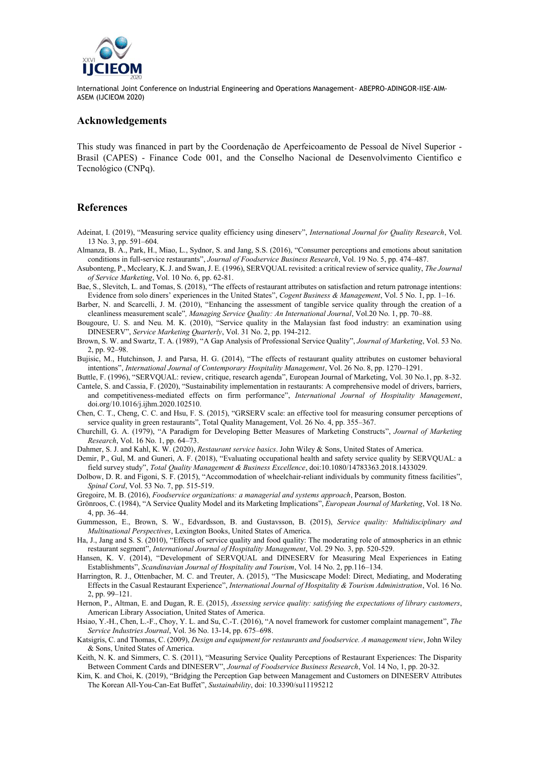

#### **Acknowledgements**

This study was financed in part by the Coordenação de Aperfeicoamento de Pessoal de Nível Superior - Brasil (CAPES) - Finance Code 001, and the Conselho Nacional de Desenvolvimento Cientifico e Tecnológico (CNPq).

#### **References**

- Adeinat, I. (2019), "Measuring service quality efficiency using dineserv", *International Journal for Quality Research*, Vol. 13 No. 3, pp. 591–604.
- Almanza, B. A., Park, H., Miao, L., Sydnor, S. and Jang, S.S. (2016), "Consumer perceptions and emotions about sanitation conditions in full-service restaurants", *Journal of Foodservice Business Research*, Vol. 19 No. 5, pp. 474–487.
- Asubonteng, P., Mccleary, K. J. and Swan, J. E. (1996), SERVQUAL revisited: a critical review of service quality, *The Journal of Service Marketing*, Vol. 10 No. 6, pp. 62-81.
- Bae, S., Slevitch, L. and Tomas, S. (2018), "The effects of restaurant attributes on satisfaction and return patronage intentions: Evidence from solo diners' experiences in the United States", *Cogent Business & Management*, Vol. 5 No. 1, pp. 1–16.
- Barber, N. and Scarcelli, J. M. (2010), "Enhancing the assessment of tangible service quality through the creation of a cleanliness measurement scale"*, Managing Service Quality: An International Journal*, Vol.20 No. 1, pp. 70–88.
- Bougoure, U. S. and Neu. M. K. (2010), "Service quality in the Malaysian fast food industry: an examination using DINESERV", *Service Marketing Quarterly*, Vol. 31 No. 2, pp. 194-212.
- Brown, S. W. and Swartz, T. A. (1989), "A Gap Analysis of Professional Service Quality", *Journal of Marketing*, Vol. 53 No. 2, pp. 92–98.
- Bujisic, M., Hutchinson, J. and Parsa, H. G. (2014), "The effects of restaurant quality attributes on customer behavioral intentions", *International Journal of Contemporary Hospitality Management*, Vol. 26 No. 8, pp. 1270–1291.
- Buttle, F. (1996), "SERVQUAL: review, critique, research agenda", European Journal of Marketing, Vol. 30 No.1, pp. 8-32. Cantele, S. and Cassia, F. (2020), "Sustainability implementation in restaurants: A comprehensive model of drivers, barriers,
- and competitiveness-mediated effects on firm performance", *International Journal of Hospitality Management*, doi.org/10.1016/j.ijhm.2020.102510.
- Chen, C. T., Cheng, C. C. and Hsu, F. S. (2015), "GRSERV scale: an effective tool for measuring consumer perceptions of service quality in green restaurants", Total Quality Management, Vol. 26 No. 4, pp. 355–367.
- Churchill, G. A. (1979), "A Paradigm for Developing Better Measures of Marketing Constructs", *Journal of Marketing Research*, Vol. 16 No. 1, pp. 64–73.
- Dahmer, S. J. and Kahl, K. W. (2020), *Restaurant service basics*. John Wiley & Sons, United States of America.
- Demir, P., Gul, M. and Guneri, A. F. (2018), "Evaluating occupational health and safety service quality by SERVQUAL: a field survey study", *Total Quality Management & Business Excellence*, doi:10.1080/14783363.2018.1433029.
- Dolbow, D. R. and Figoni, S. F. (2015), "Accommodation of wheelchair-reliant individuals by community fitness facilities", *Spinal Cord*, Vol. 53 No. 7, pp. 515-519.
- Gregoire, M. B. (2016), *Foodservice organizations: a managerial and systems approach*, Pearson, Boston.
- Grönroos, C. (1984), "A Service Quality Model and its Marketing Implications", *European Journal of Marketing*, Vol. 18 No. 4, pp. 36–44.
- Gummesson, E., Brown, S. W., Edvardsson, B. and Gustavsson, B. (2015), *Service quality: Multidisciplinary and Multinational Perspectives*, Lexington Books, United States of America.
- Ha, J., Jang and S. S. (2010), "Effects of service quality and food quality: The moderating role of atmospherics in an ethnic restaurant segment", *International Journal of Hospitality Management*, Vol. 29 No. 3, pp. 520-529.
- Hansen, K. V. (2014), "Development of SERVQUAL and DINESERV for Measuring Meal Experiences in Eating Establishments", *Scandinavian Journal of Hospitality and Tourism*, Vol. 14 No. 2, pp.116–134.
- Harrington, R. J., Ottenbacher, M. C. and Treuter, A. (2015), "The Musicscape Model: Direct, Mediating, and Moderating Effects in the Casual Restaurant Experience", *International Journal of Hospitality & Tourism Administration*, Vol. 16 No. 2, pp. 99–121.
- Hernon, P., Altman, E. and Dugan, R. E. (2015), *Assessing service quality: satisfying the expectations of library customers*, American Library Association, United States of America.
- Hsiao, Y.-H., Chen, L.-F., Choy, Y. L. and Su, C.-T. (2016), "A novel framework for customer complaint management", *The Service Industries Journal*, Vol. 36 No. 13-14, pp. 675–698.
- Katsigris, C. and Thomas, C. (2009), *Design and equipment for restaurants and foodservice. A management view*, John Wiley & Sons, United States of America.
- Keith, N. K. and Simmers, C. S. (2011), "Measuring Service Quality Perceptions of Restaurant Experiences: The Disparity Between Comment Cards and DINESERV", *Journal of Foodservice Business Research*, Vol. 14 No, 1, pp. 20-32.
- Kim, K. and Choi, K. (2019), "Bridging the Perception Gap between Management and Customers on DINESERV Attributes The Korean All-You-Can-Eat Buffet", *Sustainability*, doi: 10.3390/su11195212